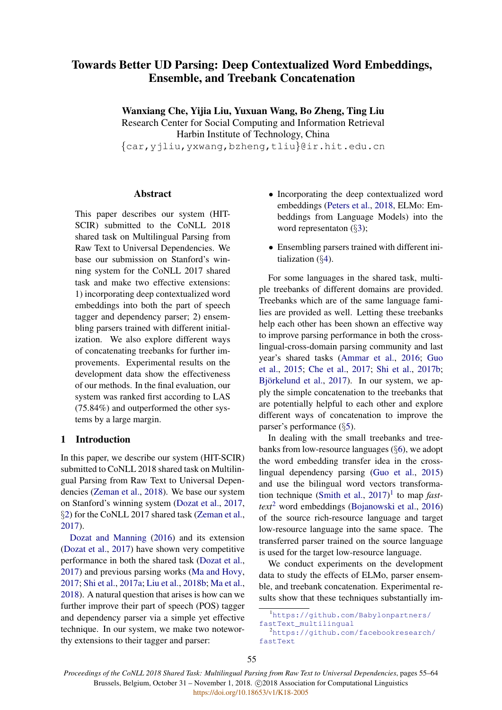# Towards Better UD Parsing: Deep Contextualized Word Embeddings, Ensemble, and Treebank Concatenation

Wanxiang Che, Yijia Liu, Yuxuan Wang, Bo Zheng, Ting Liu Research Center for Social Computing and Information Retrieval Harbin Institute of Technology, China

{car,yjliu,yxwang,bzheng,tliu}@ir.hit.edu.cn

## Abstract

This paper describes our system (HIT-SCIR) submitted to the CoNLL 2018 shared task on Multilingual Parsing from Raw Text to Universal Dependencies. We base our submission on Stanford's winning system for the CoNLL 2017 shared task and make two effective extensions: 1) incorporating deep contextualized word embeddings into both the part of speech tagger and dependency parser; 2) ensembling parsers trained with different initialization. We also explore different ways of concatenating treebanks for further improvements. Experimental results on the development data show the effectiveness of our methods. In the final evaluation, our system was ranked first according to LAS (75.84%) and outperformed the other systems by a large margin.

# 1 Introduction

In this paper, we describe our system (HIT-SCIR) submitted to CoNLL 2018 shared task on Multilingual Parsing from Raw Text to Universal Dependencies [\(Zeman et al.,](#page-8-0) [2018\)](#page-8-0). We base our system on Stanford's winning system [\(Dozat et al.,](#page-7-0) [2017,](#page-7-0) §[2\)](#page-1-0) for the CoNLL 2017 shared task [\(Zeman et al.,](#page-8-1) [2017\)](#page-8-1).

[Dozat and Manning](#page-7-1) [\(2016\)](#page-7-1) and its extension [\(Dozat et al.,](#page-7-0) [2017\)](#page-7-0) have shown very competitive performance in both the shared task [\(Dozat et al.,](#page-7-0) [2017\)](#page-7-0) and previous parsing works [\(Ma and Hovy,](#page-7-2) [2017;](#page-7-2) [Shi et al.,](#page-8-2) [2017a;](#page-8-2) [Liu et al.,](#page-7-3) [2018b;](#page-7-3) [Ma et al.,](#page-7-4) [2018\)](#page-7-4). A natural question that arises is how can we further improve their part of speech (POS) tagger and dependency parser via a simple yet effective technique. In our system, we make two noteworthy extensions to their tagger and parser:

- Incorporating the deep contextualized word embeddings [\(Peters et al.,](#page-8-3) [2018,](#page-8-3) ELMo: Embeddings from Language Models) into the word representaton (§[3\)](#page-1-1);
- Ensembling parsers trained with different initialization (§[4\)](#page-2-0).

For some languages in the shared task, multiple treebanks of different domains are provided. Treebanks which are of the same language families are provided as well. Letting these treebanks help each other has been shown an effective way to improve parsing performance in both the crosslingual-cross-domain parsing community and last year's shared tasks [\(Ammar et al.,](#page-7-5) [2016;](#page-7-5) [Guo](#page-7-6) [et al.,](#page-7-6) [2015;](#page-7-6) [Che et al.,](#page-7-7) [2017;](#page-7-7) [Shi et al.,](#page-8-4) [2017b;](#page-8-4) Björkelund et al., [2017\)](#page-7-8). In our system, we apply the simple concatenation to the treebanks that are potentially helpful to each other and explore different ways of concatenation to improve the parser's performance (§[5\)](#page-2-1).

In dealing with the small treebanks and treebanks from low-resource languages (§[6\)](#page-2-2), we adopt the word embedding transfer idea in the crosslingual dependency parsing [\(Guo et al.,](#page-7-6) [2015\)](#page-7-6) and use the bilingual word vectors transformation technique [\(Smith et al.,](#page-8-5) [2017\)](#page-8-5) [1](#page-0-0) to map *fasttext*[2](#page-0-1) word embeddings [\(Bojanowski et al.,](#page-7-9) [2016\)](#page-7-9) of the source rich-resource language and target low-resource language into the same space. The transferred parser trained on the source language is used for the target low-resource language.

We conduct experiments on the development data to study the effects of ELMo, parser ensemble, and treebank concatenation. Experimental results show that these techniques substantially im-

<span id="page-0-0"></span><sup>1</sup>[https://github.com/Babylonpartners/](https://github.com/Babylonpartners/fastText_multilingual) [fastText\\_multilingual](https://github.com/Babylonpartners/fastText_multilingual) <sup>2</sup>[https://github.com/facebookresearch/](https://github.com/facebookresearch/fastText)

<span id="page-0-1"></span>[fastText](https://github.com/facebookresearch/fastText)

*Proceedings of the CoNLL 2018 Shared Task: Multilingual Parsing from Raw Text to Universal Dependencies*, pages 55–64 Brussels, Belgium, October 31 – November 1, 2018. © 2018 Association for Computational Linguistics https://doi.org/10.18653/v1/K18-2005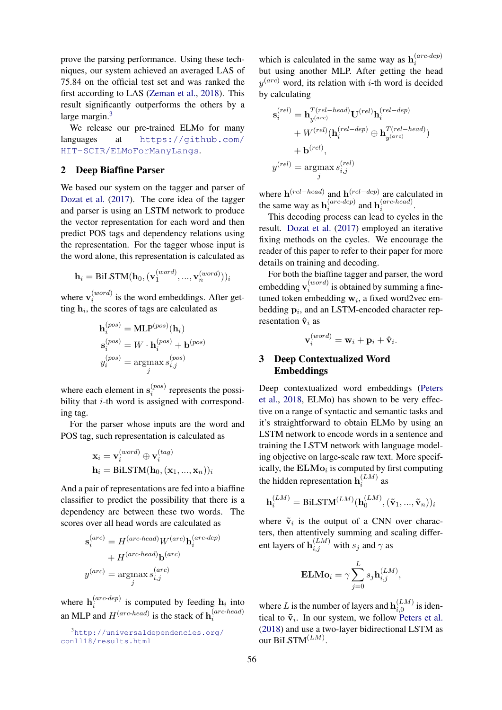prove the parsing performance. Using these techniques, our system achieved an averaged LAS of 75.84 on the official test set and was ranked the first according to LAS [\(Zeman et al.,](#page-8-0) [2018\)](#page-8-0). This result significantly outperforms the others by a large margin. $3$ 

We release our pre-trained ELMo for many languages at [https://github.com/](https://github.com/HIT-SCIR/ELMoForManyLangs) [HIT-SCIR/ELMoForManyLangs](https://github.com/HIT-SCIR/ELMoForManyLangs).

## <span id="page-1-0"></span>2 Deep Biaffine Parser

We based our system on the tagger and parser of [Dozat et al.](#page-7-0) [\(2017\)](#page-7-0). The core idea of the tagger and parser is using an LSTM network to produce the vector representation for each word and then predict POS tags and dependency relations using the representation. For the tagger whose input is the word alone, this representation is calculated as

$$
\mathbf{h}_i = \text{BiLSTM}(\mathbf{h}_0, (\mathbf{v}_1^{(word)}, ..., \mathbf{v}_n^{(word)}))_i
$$

where  $\mathbf{v}_i^{(word)}$  $i^{(word)}$  is the word embeddings. After getting  $h_i$ , the scores of tags are calculated as

$$
\mathbf{h}_i^{(pos)} = \text{MLP}^{(pos)}(\mathbf{h}_i)
$$

$$
\mathbf{s}_i^{(pos)} = W \cdot \mathbf{h}_i^{(pos)} + \mathbf{b}^{(pos)}
$$

$$
y_i^{(pos)} = \operatorname*{argmax}_{j} s_{i,j}^{(pos)}
$$

where each element in  $s_i^{(pos)}$  $i^{(pos)}$  represents the possibility that  $i$ -th word is assigned with corresponding tag.

For the parser whose inputs are the word and POS tag, such representation is calculated as

$$
\begin{aligned} \mathbf{x}_i &= \mathbf{v}_i^{(word)} \oplus \mathbf{v}_i^{(tag)}\\ \mathbf{h}_i &= \textrm{BiLSTM}(\mathbf{h}_0, (\mathbf{x}_1, ..., \mathbf{x}_n))_i \end{aligned}
$$

And a pair of representations are fed into a biaffine classifier to predict the possibility that there is a dependency arc between these two words. The scores over all head words are calculated as

$$
\mathbf{s}_{i}^{(arc)} = H^{(arc-head)}W^{(arc)}\mathbf{h}_{i}^{(arc-dep)}
$$

$$
+ H^{(arc-head)}\mathbf{b}^{(arc)}
$$

$$
y^{(arc)} = \operatorname*{argmax}_{j} s_{i,j}^{(arc)}
$$

where  $h_i^{(arc-dep)}$  $i^{(arc-aep)}$  is computed by feeding  $h_i$  into an MLP and  $H^{(arc-head)}$  is the stack of  $\mathbf{h}_{i}^{(arc-head)}$ i

which is calculated in the same way as  $h_i^{(arc-dep)}$ i but using another MLP. After getting the head  $y^{(arc)}$  word, its relation with *i*-th word is decided by calculating

$$
\mathbf{s}_{i}^{(rel)} = \mathbf{h}_{y^{(arc)}}^{T(rel-head)} \mathbf{U}^{(rel)} \mathbf{h}_{i}^{(rel-dep)}
$$

$$
+ W^{(rel)} (\mathbf{h}_{i}^{(rel-dep)} \oplus \mathbf{h}_{y^{(arc)}}^{T(rel-head)})
$$

$$
+ \mathbf{b}^{(rel)},
$$

$$
y^{(rel)} = \operatorname*{argmax}_{j} s_{i,j}^{(rel)}
$$

where  $h^{(rel-head)}$  and  $h^{(rel-dep)}$  are calculated in the same way as  $h_i^{(arc-dep)}$  $\binom{(arc-dep)}{i}$  and  $\mathbf{h}^{(arc-head)}_i$  $\frac{(arc-mean)}{i}$ .

This decoding process can lead to cycles in the result. [Dozat et al.](#page-7-0) [\(2017\)](#page-7-0) employed an iterative fixing methods on the cycles. We encourage the reader of this paper to refer to their paper for more details on training and decoding.

For both the biaffine tagger and parser, the word embedding  $v_i^{(word)}$  $i^{(word)}$  is obtained by summing a finetuned token embedding  $w_i$ , a fixed word2vec embedding  $\mathbf{p}_i$ , and an LSTM-encoded character representation  $\hat{\mathbf{v}}_i$  as

$$
\mathbf{v}_i^{(word)} = \mathbf{w}_i + \mathbf{p}_i + \hat{\mathbf{v}}_i.
$$

# <span id="page-1-1"></span>3 Deep Contextualized Word Embeddings

Deep contextualized word embeddings [\(Peters](#page-8-3) [et al.,](#page-8-3) [2018,](#page-8-3) ELMo) has shown to be very effective on a range of syntactic and semantic tasks and it's straightforward to obtain ELMo by using an LSTM network to encode words in a sentence and training the LSTM network with language modeling objective on large-scale raw text. More specifically, the  $\mathbf{ELMo}_{i}$  is computed by first computing the hidden representation  $\mathbf{h}_i^{(LM)}$  $\sum_{i=1}^{\lfloor L/M \rfloor}$  as

$$
\mathbf{h}_{i}^{(LM)} = \textrm{BiLSTM}^{(LM)}(\mathbf{h}_{0}^{(LM)}, (\tilde{\mathbf{v}}_{1}, ..., \tilde{\mathbf{v}}_{n}))_{i}
$$

where  $\tilde{v}_i$  is the output of a CNN over characters, then attentively summing and scaling different layers of  $\mathbf{h}_{i,j}^{(LM)}$  with  $s_j$  and  $\gamma$  as

$$
\mathbf{ELMo}_{i} = \gamma \sum_{j=0}^{L} s_{j} \mathbf{h}_{i,j}^{(LM)},
$$

where L is the number of layers and  $h_{i,0}^{(LM)}$  $\mathbf{e}_{i,0}^{(LM)}$  is identical to  $\tilde{\mathbf{v}}_i$ . In our system, we follow [Peters et al.](#page-8-3) [\(2018\)](#page-8-3) and use a two-layer bidirectional LSTM as our BiLSTM $^{(LM)}$ .

<span id="page-1-2"></span><sup>3</sup>[http://universaldependencies.org/](http://universaldependencies.org/conll18/results.html) [conll18/results.html](http://universaldependencies.org/conll18/results.html)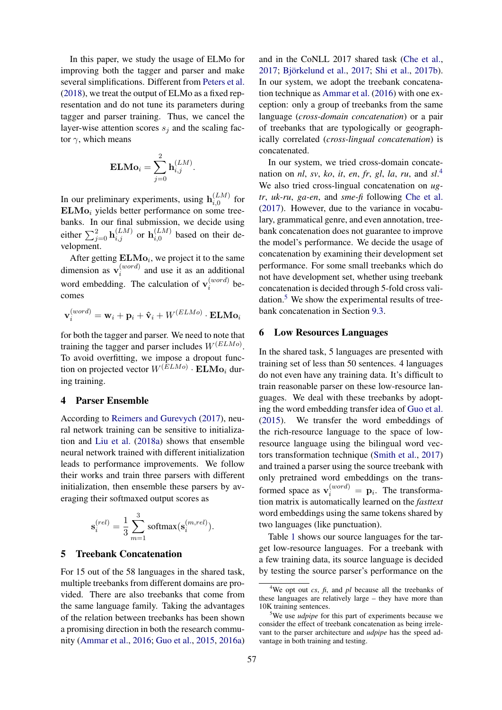In this paper, we study the usage of ELMo for improving both the tagger and parser and make several simplifications. Different from [Peters et al.](#page-8-3) [\(2018\)](#page-8-3), we treat the output of ELMo as a fixed representation and do not tune its parameters during tagger and parser training. Thus, we cancel the layer-wise attention scores  $s_i$  and the scaling factor  $\gamma$ , which means

$$
\mathbf{ELMo}_{i} = \sum_{j=0}^{2} \mathbf{h}_{i,j}^{(LM)}.
$$

In our preliminary experiments, using  $h_{i,0}^{(LM)}$  $\sum_{i,0}^{\left(LM\right)}$  for  $\mathbf{ELMo}_{i}$  yields better performance on some treebanks. In our final submission, we decide using either  $\sum_{j=0}^2 \mathbf{h}_{i,j}^{(LM)}$  or  $\mathbf{h}_{i,0}^{(LM)}$  $i,0}^{(L)M}$  based on their development.

After getting  $\mathbf{ELMo}_{i}$ , we project it to the same dimension as  $\mathbf{v}_i^{(word)}$  $i^{(word)}$  and use it as an additional word embedding. The calculation of  $\mathbf{v}_i^{(word)}$  $i^{(word)}$  becomes

$$
\mathbf{v}_i^{(word)} = \mathbf{w}_i + \mathbf{p}_i + \hat{\mathbf{v}}_i + W^{(ELMo)} \cdot \mathbf{ELMo}_i
$$

for both the tagger and parser. We need to note that training the tagger and parser includes  $W^{(ELMo)}$ . To avoid overfitting, we impose a dropout function on projected vector  $W^{(ELMo)}$   $\cdot$   $\mathbf{ELMo}_{i}$  during training.

## <span id="page-2-0"></span>4 Parser Ensemble

According to [Reimers and Gurevych](#page-8-6) [\(2017\)](#page-8-6), neural network training can be sensitive to initialization and [Liu et al.](#page-7-10) [\(2018a\)](#page-7-10) shows that ensemble neural network trained with different initialization leads to performance improvements. We follow their works and train three parsers with different initialization, then ensemble these parsers by averaging their softmaxed output scores as

$$
\mathbf{s}_{i}^{(rel)} = \frac{1}{3}\sum_{m=1}^{3}\text{softmax}(\mathbf{s}_{i}^{(m,rel)}).
$$

## <span id="page-2-1"></span>5 Treebank Concatenation

For 15 out of the 58 languages in the shared task, multiple treebanks from different domains are provided. There are also treebanks that come from the same language family. Taking the advantages of the relation between treebanks has been shown a promising direction in both the research community [\(Ammar et al.,](#page-7-5) [2016;](#page-7-5) [Guo et al.,](#page-7-6) [2015,](#page-7-6) [2016a\)](#page-7-11)

and in the CoNLL 2017 shared task [\(Che et al.,](#page-7-7) [2017;](#page-7-8) Björkelund et al., 2017; [Shi et al.,](#page-8-4) [2017b\)](#page-8-4). In our system, we adopt the treebank concatenation technique as [Ammar et al.](#page-7-5) [\(2016\)](#page-7-5) with one exception: only a group of treebanks from the same language (*cross-domain concatenation*) or a pair of treebanks that are typologically or geographically correlated (*cross-lingual concatenation*) is concatenated.

In our system, we tried cross-domain concatenation on *nl*, *sv*, *ko*, *it*, *en*, *fr*, *gl*, *la*, *ru*, and *sl*. [4](#page-2-3) We also tried cross-lingual concatenation on *ugtr*, *uk-ru*, *ga-en*, and *sme-fi* following [Che et al.](#page-7-7) [\(2017\)](#page-7-7). However, due to the variance in vocabulary, grammatical genre, and even annotation, treebank concatenation does not guarantee to improve the model's performance. We decide the usage of concatenation by examining their development set performance. For some small treebanks which do not have development set, whether using treebank concatenation is decided through 5-fold cross validation. $5$  We show the experimental results of treebank concatenation in Section [9.3.](#page-5-0)

#### <span id="page-2-2"></span>6 Low Resources Languages

In the shared task, 5 languages are presented with training set of less than 50 sentences. 4 languages do not even have any training data. It's difficult to train reasonable parser on these low-resource languages. We deal with these treebanks by adopting the word embedding transfer idea of [Guo et al.](#page-7-6) [\(2015\)](#page-7-6). We transfer the word embeddings of the rich-resource language to the space of lowresource language using the bilingual word vectors transformation technique [\(Smith et al.,](#page-8-5) [2017\)](#page-8-5) and trained a parser using the source treebank with only pretrained word embeddings on the transformed space as  $\mathbf{v}_i^{(word)} = \mathbf{p}_i$ . The transformation matrix is automatically learned on the *fasttext* word embeddings using the same tokens shared by two languages (like punctuation).

Table [1](#page-3-0) shows our source languages for the target low-resource languages. For a treebank with a few training data, its source language is decided by testing the source parser's performance on the

<span id="page-2-3"></span><sup>&</sup>lt;sup>4</sup>We opt out *cs*,  $\hat{\mu}$ , and  $\hat{\rho}$  because all the treebanks of these languages are relatively large – they have more than 10K training sentences.

<span id="page-2-4"></span><sup>5</sup>We use *udpipe* for this part of experiments because we consider the effect of treebank concatenation as being irrelevant to the parser architecture and *udpipe* has the speed advantage in both training and testing.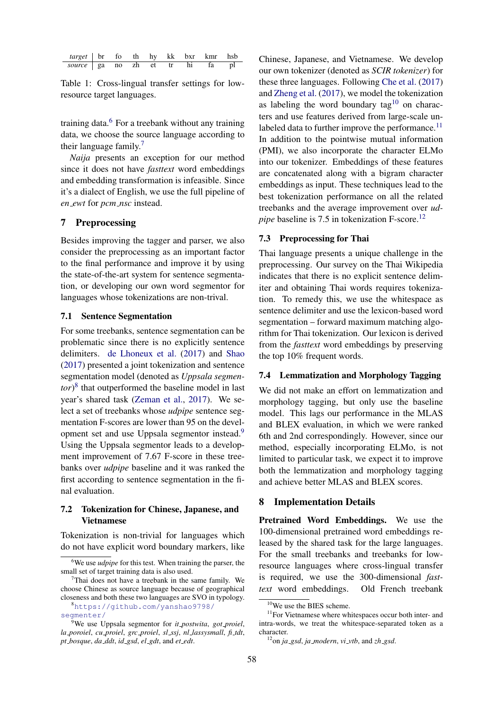<span id="page-3-0"></span>

| <i>target</i>   br fo th hy kk bxr kmr hsb |  |  |  |       |  |
|--------------------------------------------|--|--|--|-------|--|
| source   ga no zh et tr hi                 |  |  |  | fa pl |  |

Table 1: Cross-lingual transfer settings for lowresource target languages.

training data.<sup>[6](#page-3-1)</sup> For a treebank without any training data, we choose the source language according to their language family.<sup>[7](#page-3-2)</sup>

*Naija* presents an exception for our method since it does not have *fasttext* word embeddings and embedding transformation is infeasible. Since it's a dialect of English, we use the full pipeline of *en ewt* for *pcm nsc* instead.

# 7 Preprocessing

Besides improving the tagger and parser, we also consider the preprocessing as an important factor to the final performance and improve it by using the state-of-the-art system for sentence segmentation, or developing our own word segmentor for languages whose tokenizations are non-trival.

#### 7.1 Sentence Segmentation

For some treebanks, sentence segmentation can be problematic since there is no explicitly sentence delimiters. [de Lhoneux et al.](#page-7-12) [\(2017\)](#page-7-12) and [Shao](#page-8-7) [\(2017\)](#page-8-7) presented a joint tokenization and sentence segmentation model (denoted as *Uppsala segmentor*) [8](#page-3-3) that outperformed the baseline model in last year's shared task [\(Zeman et al.,](#page-8-1) [2017\)](#page-8-1). We select a set of treebanks whose *udpipe* sentence segmentation F-scores are lower than 95 on the development set and use Uppsala segmentor instead.[9](#page-3-4) Using the Uppsala segmentor leads to a development improvement of 7.67 F-score in these treebanks over *udpipe* baseline and it was ranked the first according to sentence segmentation in the final evaluation.

# 7.2 Tokenization for Chinese, Japanese, and Vietnamese

Tokenization is non-trivial for languages which do not have explicit word boundary markers, like

Chinese, Japanese, and Vietnamese. We develop our own tokenizer (denoted as *SCIR tokenizer*) for these three languages. Following [Che et al.](#page-7-7) [\(2017\)](#page-7-7) and [Zheng et al.](#page-8-8) [\(2017\)](#page-8-8), we model the tokenization as labeling the word boundary tag<sup>[10](#page-3-5)</sup> on characters and use features derived from large-scale un-labeled data to further improve the performance.<sup>[11](#page-3-6)</sup> In addition to the pointwise mutual information (PMI), we also incorporate the character ELMo into our tokenizer. Embeddings of these features are concatenated along with a bigram character embeddings as input. These techniques lead to the best tokenization performance on all the related treebanks and the average improvement over *udpipe* baseline is 7.5 in tokenization F-score.<sup>[12](#page-3-7)</sup>

#### 7.3 Preprocessing for Thai

Thai language presents a unique challenge in the preprocessing. Our survey on the Thai Wikipedia indicates that there is no explicit sentence delimiter and obtaining Thai words requires tokenization. To remedy this, we use the whitespace as sentence delimiter and use the lexicon-based word segmentation – forward maximum matching algorithm for Thai tokenization. Our lexicon is derived from the *fasttext* word embeddings by preserving the top 10% frequent words.

# 7.4 Lemmatization and Morphology Tagging

We did not make an effort on lemmatization and morphology tagging, but only use the baseline model. This lags our performance in the MLAS and BLEX evaluation, in which we were ranked 6th and 2nd correspondingly. However, since our method, especially incorporating ELMo, is not limited to particular task, we expect it to improve both the lemmatization and morphology tagging and achieve better MLAS and BLEX scores.

## 8 Implementation Details

Pretrained Word Embeddings. We use the 100-dimensional pretrained word embeddings released by the shared task for the large languages. For the small treebanks and treebanks for lowresource languages where cross-lingual transfer is required, we use the 300-dimensional *fasttext* word embeddings. Old French treebank

<span id="page-3-1"></span><sup>6</sup>We use *udpipe* for this test. When training the parser, the small set of target training data is also used.

<span id="page-3-2"></span> $7$ Thai does not have a treebank in the same family. We choose Chinese as source language because of geographical closeness and both these two languages are SVO in typology.

<span id="page-3-3"></span><sup>8</sup>[https://github.com/yanshao9798/](https://github.com/yanshao9798/segmenter/) [segmenter/](https://github.com/yanshao9798/segmenter/)

<span id="page-3-4"></span><sup>9</sup>We use Uppsala segmentor for *it postwita*, *got proiel*, *la poroiel*, *cu proiel*, *grc proiel*, *sl ssj*, *nl lassysmall*, *fi tdt*, *pt bosque*, *da ddt*, *id gsd*, *el gdt*, and *et edt*.

<span id="page-3-6"></span><span id="page-3-5"></span><sup>10</sup>We use the BIES scheme.

<sup>&</sup>lt;sup>11</sup>For Vietnamese where whitespaces occur both inter- and intra-words, we treat the whitespace-separated token as a character.

<span id="page-3-7"></span><sup>12</sup>on *ja gsd*, *ja modern*, *vi vtb*, and *zh gsd*.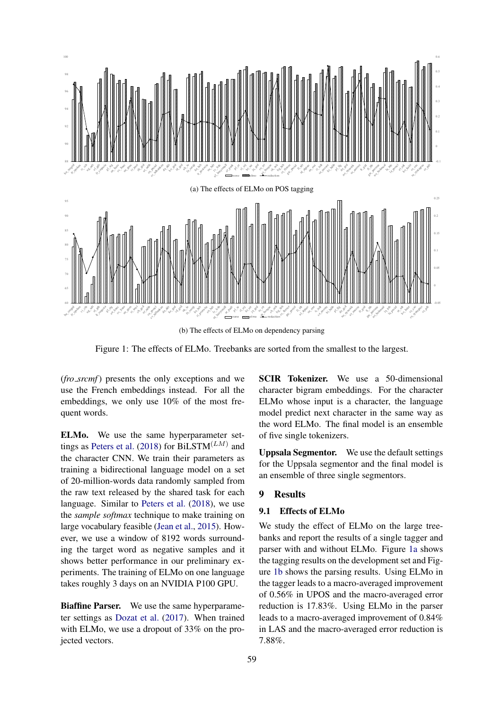<span id="page-4-0"></span>

(b) The effects of ELMo on dependency parsing

Figure 1: The effects of ELMo. Treebanks are sorted from the smallest to the largest.

(*fro srcmf*) presents the only exceptions and we use the French embeddings instead. For all the embeddings, we only use 10% of the most frequent words.

ELMo. We use the same hyperparameter set-tings as [Peters et al.](#page-8-3) [\(2018\)](#page-8-3) for BiLSTM $^{(LM)}$  and the character CNN. We train their parameters as training a bidirectional language model on a set of 20-million-words data randomly sampled from the raw text released by the shared task for each language. Similar to [Peters et al.](#page-8-3) [\(2018\)](#page-8-3), we use the *sample softmax* technique to make training on large vocabulary feasible [\(Jean et al.,](#page-7-13) [2015\)](#page-7-13). However, we use a window of 8192 words surrounding the target word as negative samples and it shows better performance in our preliminary experiments. The training of ELMo on one language takes roughly 3 days on an NVIDIA P100 GPU.

Biaffine Parser. We use the same hyperparameter settings as [Dozat et al.](#page-7-0) [\(2017\)](#page-7-0). When trained with ELMo, we use a dropout of 33% on the projected vectors.

SCIR Tokenizer. We use a 50-dimensional character bigram embeddings. For the character ELMo whose input is a character, the language model predict next character in the same way as the word ELMo. The final model is an ensemble of five single tokenizers.

Uppsala Segmentor. We use the default settings for the Uppsala segmentor and the final model is an ensemble of three single segmentors.

#### 9 Results

# 9.1 Effects of ELMo

We study the effect of ELMo on the large treebanks and report the results of a single tagger and parser with and without ELMo. Figure [1a](#page-4-0) shows the tagging results on the development set and Figure [1b](#page-4-0) shows the parsing results. Using ELMo in the tagger leads to a macro-averaged improvement of 0.56% in UPOS and the macro-averaged error reduction is 17.83%. Using ELMo in the parser leads to a macro-averaged improvement of 0.84% in LAS and the macro-averaged error reduction is 7.88%.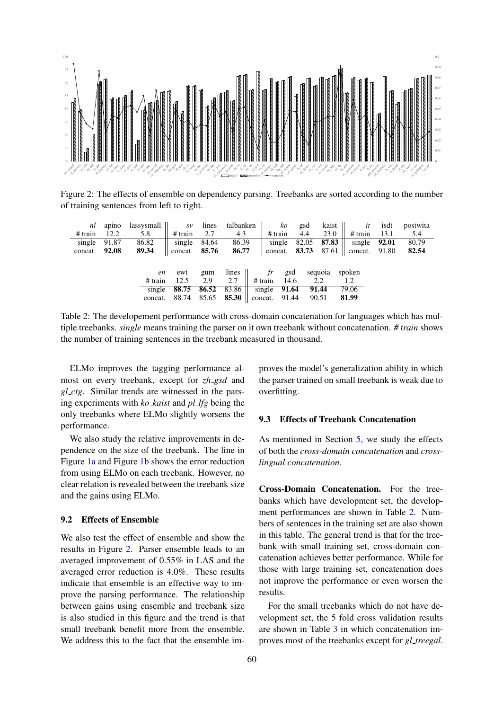<span id="page-5-1"></span>

Figure 2: The effects of ensemble on dependency parsing. Treebanks are sorted according to the number of training sentences from left to right.

<span id="page-5-2"></span>

|                 |                | <i>nl</i> apino lassysmall $\parallel$ <i>sv</i> lines talbanken $\parallel$ <i>ko</i> gsd |                                                                   |     |                                             |  |                    |     | kaist $\parallel$ <i>it</i> isdt     | postwita |
|-----------------|----------------|--------------------------------------------------------------------------------------------|-------------------------------------------------------------------|-----|---------------------------------------------|--|--------------------|-----|--------------------------------------|----------|
| $# train$ 12.2  |                | 5.8                                                                                        | $\ $ # train 2.7 4.3 $\ $                                         |     |                                             |  |                    |     | # train $4.4$ $23.0$    # train 13.1 | 5.4      |
|                 | single $91.87$ | 86.82    single 84.64 86.39    single 82.05 <b>87.83</b>    single <b>92.01</b>            |                                                                   |     |                                             |  |                    |     |                                      | 80.79    |
| concat. $92.08$ |                | 89.34                                                                                      | concat. 85.76 86.77 concat. 83.73 87.61 concat. 91.80 82.54       |     |                                             |  |                    |     |                                      |          |
|                 |                |                                                                                            |                                                                   |     |                                             |  |                    |     |                                      |          |
|                 |                | en                                                                                         | ewt                                                               |     | gum lines $\parallel$ fr gsd sequoia spoken |  |                    |     |                                      |          |
|                 |                | # train                                                                                    | 12.5                                                              | 2.9 | 2.7                                         |  | # train $14.6$ 2.2 | 1.2 |                                      |          |
|                 |                |                                                                                            | single $88.75$ $86.52$ $83.86$ single $91.64$ $91.44$             |     |                                             |  |                    |     | 79.06                                |          |
|                 |                |                                                                                            | concat. 88.74 85.65 <b>85.30</b> concat. 91.44 90.51 <b>81.99</b> |     |                                             |  |                    |     |                                      |          |
|                 |                |                                                                                            |                                                                   |     |                                             |  |                    |     |                                      |          |

Table 2: The developement performance with cross-domain concatenation for languages which has multiple treebanks. *single* means training the parser on it own treebank without concatenation. *# train* shows the number of training sentences in the treebank measured in thousand.

ELMo improves the tagging performance almost on every treebank, except for *zh gsd* and *gl ctg*. Similar trends are witnessed in the parsing experiments with *ko kaist* and *pl lfg* being the only treebanks where ELMo slightly worsens the performance.

We also study the relative improvements in dependence on the size of the treebank. The line in Figure [1a](#page-4-0) and Figure [1b](#page-4-0) shows the error reduction from using ELMo on each treebank. However, no clear relation is revealed between the treebank size and the gains using ELMo.

#### 9.2 Effects of Ensemble

We also test the effect of ensemble and show the results in Figure [2.](#page-5-1) Parser ensemble leads to an averaged improvement of 0.55% in LAS and the averaged error reduction is 4.0%. These results indicate that ensemble is an effective way to improve the parsing performance. The relationship between gains using ensemble and treebank size is also studied in this figure and the trend is that small treebank benefit more from the ensemble. We address this to the fact that the ensemble improves the model's generalization ability in which the parser trained on small treebank is weak due to overfitting.

# <span id="page-5-0"></span>9.3 Effects of Treebank Concatenation

As mentioned in Section [5,](#page-2-1) we study the effects of both the *cross-domain concatenation* and *crosslingual concatenation*.

For the main of the case of the term<br>and the case of the state of the state of the state of the state of the<br>state of the state of the state of the number of the state of<br>train 44 230 87.83 angle 92.01 82.79<br>The case of t Cross-Domain Concatenation. For the treebanks which have development set, the development performances are shown in Table [2.](#page-5-2) Numbers of sentences in the training set are also shown in this table. The general trend is that for the treebank with small training set, cross-domain concatenation achieves better performance. While for those with large training set, concatenation does not improve the performance or even worsen the results.

For the small treebanks which do not have development set, the 5 fold cross validation results are shown in Table [3](#page-6-0) in which concatenation improves most of the treebanks except for *gl treegal*.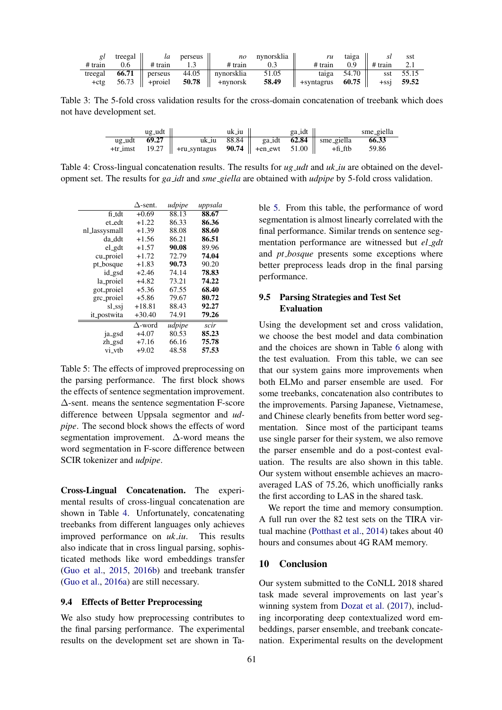<span id="page-6-0"></span>

|         | treegal       | la                          | perseus | n <sub>O</sub>               | nvnorsklia | ru         | taiga       |         | sst       |
|---------|---------------|-----------------------------|---------|------------------------------|------------|------------|-------------|---------|-----------|
| # train | $0.6^{\circ}$ | # train                     |         | # train                      |            | # train    | 0.9         | # train | 2.1       |
| treegal | 66.71         | perseus                     |         | 44.05    nynorsklia          | 51.05      |            | taiga 54.70 |         | sst 55.15 |
| $+ctg$  |               | $56.73$ $\parallel$ +proiel |         | $50.78$ $\parallel$ +nynorsk | 58.49      | +syntagrus | 60.75       | $+$ ssi | 59.52     |

<span id="page-6-1"></span>Table 3: The 5-fold cross validation results for the cross-domain concatenation of treebank which does not have development set.

| $\log$ -udt       |                                                                    | uk_iu | ga_idt |                                               | sme_giella |
|-------------------|--------------------------------------------------------------------|-------|--------|-----------------------------------------------|------------|
| $\mu$ g_udt 69.27 |                                                                    |       |        | uk_iu $88.84$    ga_idt $62.84$    sme_giella | 66.33      |
|                   | +tr_imst 19.27    +ru_syntagus $90.74$    +en_ewt 51.00    +fi_ftb |       |        |                                               | 59.86      |

Table 4: Cross-lingual concatenation results. The results for *ug udt* and *uk iu* are obtained on the development set. The results for *ga idt* and *sme giella* are obtained with *udpipe* by 5-fold cross validation.

<span id="page-6-2"></span>

|               | $\Delta$ -sent. | udpipe | uppsala |
|---------------|-----------------|--------|---------|
| fi_tdt        | $+0.69$         | 88.13  | 88.67   |
| et edt        | $+1.22$         | 86.33  | 86.36   |
| nl_lassysmall | $+1.39$         | 88.08  | 88.60   |
| da_ddt        | +1.56           | 86.21  | 86.51   |
| el_gdt        | $+1.57$         | 90.08  | 89.96   |
| cu_proiel     | $+1.72$         | 72.79  | 74.04   |
| pt_bosque     | $+1.83$         | 90.73  | 90.20   |
| id_gsd        | $+2.46$         | 74.14  | 78.83   |
| la_proiel     | +4.82           | 73.21  | 74.22   |
| got_proiel    | $+5.36$         | 67.55  | 68.40   |
| grc_proiel    | $+5.86$         | 79.67  | 80.72   |
| sl_ssi        | +18.81          | 88.43  | 92.27   |
| it_postwita   | $+30.40$        | 74.91  | 79.26   |
|               | $\Delta$ -word  | udpipe | scir    |
| ja_gsd        | $+4.07$         | 80.53  | 85.23   |
| zh_gsd        | $+7.16$         | 66.16  | 75.78   |
| vi_vtb        | $+9.02$         | 48.58  | 57.53   |

Table 5: The effects of improved preprocessing on the parsing performance. The first block shows the effects of sentence segmentation improvement. ∆-sent. means the sentence segmentation F-score difference between Uppsala segmentor and *udpipe*. The second block shows the effects of word segmentation improvement. ∆-word means the word segmentation in F-score difference between SCIR tokenizer and *udpipe*.

Cross-Lingual Concatenation. The experimental results of cross-lingual concatenation are shown in Table [4.](#page-6-1) Unfortunately, concatenating treebanks from different languages only achieves improved performance on *uk\_iu*. This results also indicate that in cross lingual parsing, sophisticated methods like word embeddings transfer [\(Guo et al.,](#page-7-6) [2015,](#page-7-6) [2016b\)](#page-7-14) and treebank transfer [\(Guo et al.,](#page-7-11) [2016a\)](#page-7-11) are still necessary.

#### 9.4 Effects of Better Preprocessing

We also study how preprocessing contributes to the final parsing performance. The experimental results on the development set are shown in Table [5.](#page-6-2) From this table, the performance of word segmentation is almost linearly correlated with the final performance. Similar trends on sentence segmentation performance are witnessed but *el gdt* and *pt bosque* presents some exceptions where better preprocess leads drop in the final parsing performance.

## 9.5 Parsing Strategies and Test Set Evaluation

Using the development set and cross validation, we choose the best model and data combination and the choices are shown in Table [6](#page-9-0) along with the test evaluation. From this table, we can see that our system gains more improvements when both ELMo and parser ensemble are used. For some treebanks, concatenation also contributes to the improvements. Parsing Japanese, Vietnamese, and Chinese clearly benefits from better word segmentation. Since most of the participant teams use single parser for their system, we also remove the parser ensemble and do a post-contest evaluation. The results are also shown in this table. Our system without ensemble achieves an macroaveraged LAS of 75.26, which unofficially ranks the first according to LAS in the shared task.

We report the time and memory consumption. A full run over the 82 test sets on the TIRA virtual machine [\(Potthast et al.,](#page-8-9) [2014\)](#page-8-9) takes about 40 hours and consumes about 4G RAM memory.

# 10 Conclusion

Our system submitted to the CoNLL 2018 shared task made several improvements on last year's winning system from [Dozat et al.](#page-7-0) [\(2017\)](#page-7-0), including incorporating deep contextualized word embeddings, parser ensemble, and treebank concatenation. Experimental results on the development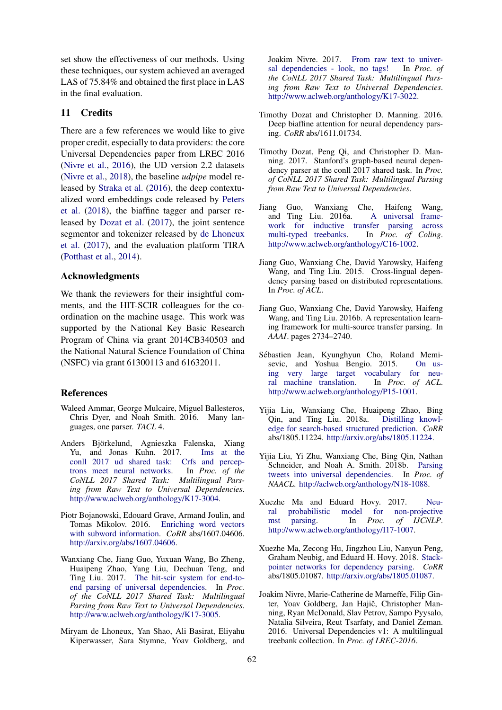set show the effectiveness of our methods. Using these techniques, our system achieved an averaged LAS of 75.84% and obtained the first place in LAS in the final evaluation.

# 11 Credits

There are a few references we would like to give proper credit, especially to data providers: the core Universal Dependencies paper from LREC 2016 [\(Nivre et al.,](#page-7-15) [2016\)](#page-7-15), the UD version 2.2 datasets [\(Nivre et al.,](#page-8-10) [2018\)](#page-8-10), the baseline *udpipe* model released by [Straka et al.](#page-8-11) [\(2016\)](#page-8-11), the deep contextualized word embeddings code released by [Peters](#page-8-3) [et al.](#page-8-3) [\(2018\)](#page-8-3), the biaffine tagger and parser released by [Dozat et al.](#page-7-0) [\(2017\)](#page-7-0), the joint sentence segmentor and tokenizer released by [de Lhoneux](#page-7-12) [et al.](#page-7-12) [\(2017\)](#page-7-12), and the evaluation platform TIRA [\(Potthast et al.,](#page-8-9) [2014\)](#page-8-9).

#### Acknowledgments

We thank the reviewers for their insightful comments, and the HIT-SCIR colleagues for the coordination on the machine usage. This work was supported by the National Key Basic Research Program of China via grant 2014CB340503 and the National Natural Science Foundation of China (NSFC) via grant 61300113 and 61632011.

## References

- <span id="page-7-5"></span>Waleed Ammar, George Mulcaire, Miguel Ballesteros, Chris Dyer, and Noah Smith. 2016. Many languages, one parser. *TACL* 4.
- <span id="page-7-8"></span>Anders Bjorkelund, Agnieszka Falenska, Xiang ¨ Yu, and Jonas Kuhn. 2017. [Ims at the](http://www.aclweb.org/anthology/K17-3004) [conll 2017 ud shared task: Crfs and percep](http://www.aclweb.org/anthology/K17-3004)[trons meet neural networks.](http://www.aclweb.org/anthology/K17-3004) In *Proc. of the CoNLL 2017 Shared Task: Multilingual Parsing from Raw Text to Universal Dependencies*. [http://www.aclweb.org/anthology/K17-3004.](http://www.aclweb.org/anthology/K17-3004)
- <span id="page-7-9"></span>Piotr Bojanowski, Edouard Grave, Armand Joulin, and Tomas Mikolov. 2016. [Enriching word vectors](http://arxiv.org/abs/1607.04606) [with subword information.](http://arxiv.org/abs/1607.04606) *CoRR* abs/1607.04606. [http://arxiv.org/abs/1607.04606.](http://arxiv.org/abs/1607.04606)
- <span id="page-7-7"></span>Wanxiang Che, Jiang Guo, Yuxuan Wang, Bo Zheng, Huaipeng Zhao, Yang Liu, Dechuan Teng, and Ting Liu. 2017. [The hit-scir system for end-to](http://www.aclweb.org/anthology/K17-3005)[end parsing of universal dependencies.](http://www.aclweb.org/anthology/K17-3005) In *Proc. of the CoNLL 2017 Shared Task: Multilingual Parsing from Raw Text to Universal Dependencies*. [http://www.aclweb.org/anthology/K17-3005.](http://www.aclweb.org/anthology/K17-3005)
- <span id="page-7-12"></span>Miryam de Lhoneux, Yan Shao, Ali Basirat, Eliyahu Kiperwasser, Sara Stymne, Yoav Goldberg, and

Joakim Nivre. 2017. [From raw text to univer](http://www.aclweb.org/anthology/K17-3022)[sal dependencies - look, no tags!](http://www.aclweb.org/anthology/K17-3022) In *Proc. of the CoNLL 2017 Shared Task: Multilingual Parsing from Raw Text to Universal Dependencies*. [http://www.aclweb.org/anthology/K17-3022.](http://www.aclweb.org/anthology/K17-3022)

- <span id="page-7-1"></span>Timothy Dozat and Christopher D. Manning. 2016. Deep biaffine attention for neural dependency parsing. *CoRR* abs/1611.01734.
- <span id="page-7-0"></span>Timothy Dozat, Peng Qi, and Christopher D. Manning. 2017. Stanford's graph-based neural dependency parser at the conll 2017 shared task. In *Proc. of CoNLL 2017 Shared Task: Multilingual Parsing from Raw Text to Universal Dependencies*.
- <span id="page-7-11"></span>Jiang Guo, Wanxiang Che, Haifeng Wang, [A universal frame](http://www.aclweb.org/anthology/C16-1002)[work for inductive transfer parsing across](http://www.aclweb.org/anthology/C16-1002)<br>multi-typed treebanks. In Proc. of Coling. [multi-typed treebanks.](http://www.aclweb.org/anthology/C16-1002) [http://www.aclweb.org/anthology/C16-1002.](http://www.aclweb.org/anthology/C16-1002)
- <span id="page-7-6"></span>Jiang Guo, Wanxiang Che, David Yarowsky, Haifeng Wang, and Ting Liu. 2015. Cross-lingual dependency parsing based on distributed representations. In *Proc. of ACL*.
- <span id="page-7-14"></span>Jiang Guo, Wanxiang Che, David Yarowsky, Haifeng Wang, and Ting Liu. 2016b. A representation learning framework for multi-source transfer parsing. In *AAAI*. pages 2734–2740.
- <span id="page-7-13"></span>Sébastien Jean, Kyunghyun Cho, Roland Memisevic, and Yoshua Bengio. 2015. [On us](http://www.aclweb.org/anthology/P15-1001)ing very large target vocabulary for neu-<br>ral machine translation. In Proc. of ACL. [ral machine translation.](http://www.aclweb.org/anthology/P15-1001) [http://www.aclweb.org/anthology/P15-1001.](http://www.aclweb.org/anthology/P15-1001)
- <span id="page-7-10"></span>Yijia Liu, Wanxiang Che, Huaipeng Zhao, Bing Qin, and Ting Liu. 2018a. [edge for search-based structured prediction.](http://arxiv.org/abs/1805.11224) *CoRR* abs/1805.11224. [http://arxiv.org/abs/1805.11224.](http://arxiv.org/abs/1805.11224)
- <span id="page-7-3"></span>Yijia Liu, Yi Zhu, Wanxiang Che, Bing Qin, Nathan Schneider, and Noah A. Smith. 2018b. [Parsing](http://aclweb.org/anthology/N18-1088) [tweets into universal dependencies.](http://aclweb.org/anthology/N18-1088) In *Proc. of NAACL*. [http://aclweb.org/anthology/N18-1088.](http://aclweb.org/anthology/N18-1088)
- <span id="page-7-2"></span>Xuezhe Ma and Eduard Hovy. 2017. [Neu](http://www.aclweb.org/anthology/I17-1007)[ral probabilistic model for non-projective](http://www.aclweb.org/anthology/I17-1007) [mst parsing.](http://www.aclweb.org/anthology/I17-1007) In *Proc. of IJCNLP*. [http://www.aclweb.org/anthology/I17-1007.](http://www.aclweb.org/anthology/I17-1007)
- <span id="page-7-4"></span>Xuezhe Ma, Zecong Hu, Jingzhou Liu, Nanyun Peng, Graham Neubig, and Eduard H. Hovy. 2018. [Stack](http://arxiv.org/abs/1805.01087)[pointer networks for dependency parsing.](http://arxiv.org/abs/1805.01087) *CoRR* abs/1805.01087. [http://arxiv.org/abs/1805.01087.](http://arxiv.org/abs/1805.01087)
- <span id="page-7-15"></span>Joakim Nivre, Marie-Catherine de Marneffe, Filip Ginter, Yoav Goldberg, Jan Hajič, Christopher Manning, Ryan McDonald, Slav Petrov, Sampo Pyysalo, Natalia Silveira, Reut Tsarfaty, and Daniel Zeman. 2016. Universal Dependencies v1: A multilingual treebank collection. In *Proc. of LREC-2016*.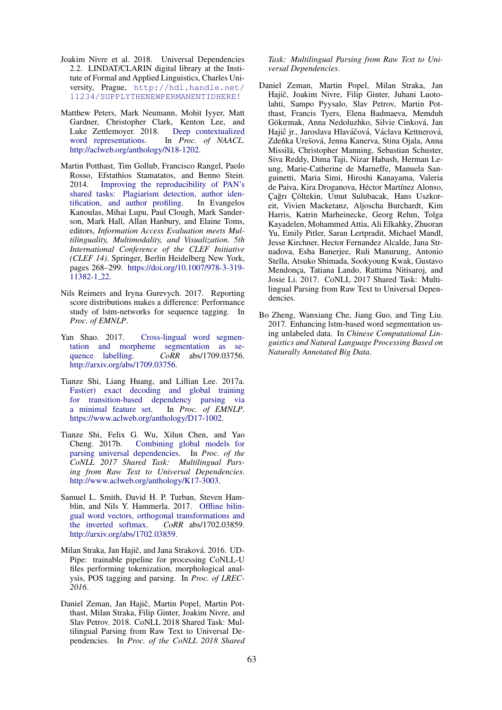- <span id="page-8-10"></span>Joakim Nivre et al. 2018. Universal Dependencies 2.2. LINDAT/CLARIN digital library at the Institute of Formal and Applied Linguistics, Charles University, Prague, [http://hdl.handle.net/](http://hdl.handle.net/11234/ SUPPLY THE NEW PERMANENT ID HERE!) [11234/SUPPLYTHENEWPERMANENTIDHERE!](http://hdl.handle.net/11234/ SUPPLY THE NEW PERMANENT ID HERE!)
- <span id="page-8-3"></span>Matthew Peters, Mark Neumann, Mohit Iyyer, Matt Gardner, Christopher Clark, Kenton Lee, and Luke Zettlemoyer. 2018. [Deep contextualized](http://aclweb.org/anthology/N18-1202) [word representations.](http://aclweb.org/anthology/N18-1202) In *Proc. of NAACL*. [http://aclweb.org/anthology/N18-1202.](http://aclweb.org/anthology/N18-1202)
- <span id="page-8-9"></span>Martin Potthast, Tim Gollub, Francisco Rangel, Paolo Rosso, Efstathios Stamatatos, and Benno Stein. 2014. [Improving the reproducibility of PAN's](https://doi.org/10.1007/978-3-319-11382-1_{}22) [shared tasks: Plagiarism detection, author iden](https://doi.org/10.1007/978-3-319-11382-1_{}22)[tification, and author profiling.](https://doi.org/10.1007/978-3-319-11382-1_{}22) In Evangelos Kanoulas, Mihai Lupu, Paul Clough, Mark Sanderson, Mark Hall, Allan Hanbury, and Elaine Toms, editors, *Information Access Evaluation meets Multilinguality, Multimodality, and Visualization. 5th International Conference of the CLEF Initiative (CLEF 14)*. Springer, Berlin Heidelberg New York, pages 268–299. [https://doi.org/10.1007/978-3-319-](https://doi.org/10.1007/978-3-319-11382-1_{}22) [11382-1](https://doi.org/10.1007/978-3-319-11382-1_{}22) 22.
- <span id="page-8-6"></span>Nils Reimers and Iryna Gurevych. 2017. Reporting score distributions makes a difference: Performance study of lstm-networks for sequence tagging. In *Proc. of EMNLP*.
- <span id="page-8-7"></span>Yan Shao. 2017. [Cross-lingual word segmen](http://arxiv.org/abs/1709.03756)[tation and morpheme segmentation as se](http://arxiv.org/abs/1709.03756)[quence labelling.](http://arxiv.org/abs/1709.03756) *CoRR* abs/1709.03756. [http://arxiv.org/abs/1709.03756.](http://arxiv.org/abs/1709.03756)
- <span id="page-8-2"></span>Tianze Shi, Liang Huang, and Lillian Lee. 2017a. [Fast\(er\) exact decoding and global training](https://www.aclweb.org/anthology/D17-1002) [for transition-based dependency parsing via](https://www.aclweb.org/anthology/D17-1002)<br>a minimal feature set. In *Proc. of EMNLP*. [a minimal feature set.](https://www.aclweb.org/anthology/D17-1002) [https://www.aclweb.org/anthology/D17-1002.](https://www.aclweb.org/anthology/D17-1002)
- <span id="page-8-4"></span>Tianze Shi, Felix G. Wu, Xilun Chen, and Yao Cheng. 2017b. [Combining global models for](http://www.aclweb.org/anthology/K17-3003) [parsing universal dependencies.](http://www.aclweb.org/anthology/K17-3003) In *Proc. of the CoNLL 2017 Shared Task: Multilingual Parsing from Raw Text to Universal Dependencies*. [http://www.aclweb.org/anthology/K17-3003.](http://www.aclweb.org/anthology/K17-3003)
- <span id="page-8-5"></span>Samuel L. Smith, David H. P. Turban, Steven Hamblin, and Nils Y. Hammerla. 2017. [Offline bilin](http://arxiv.org/abs/1702.03859)[gual word vectors, orthogonal transformations and](http://arxiv.org/abs/1702.03859) [the inverted softmax.](http://arxiv.org/abs/1702.03859) *CoRR* abs/1702.03859. [http://arxiv.org/abs/1702.03859.](http://arxiv.org/abs/1702.03859)
- <span id="page-8-11"></span>Milan Straka, Jan Hajič, and Jana Straková. 2016. UD-Pipe: trainable pipeline for processing CoNLL-U files performing tokenization, morphological analysis, POS tagging and parsing. In *Proc. of LREC-2016*.
- <span id="page-8-0"></span>Daniel Zeman, Jan Hajič, Martin Popel, Martin Potthast, Milan Straka, Filip Ginter, Joakim Nivre, and Slav Petrov. 2018. CoNLL 2018 Shared Task: Multilingual Parsing from Raw Text to Universal Dependencies. In *Proc. of the CoNLL 2018 Shared*

*Task: Multilingual Parsing from Raw Text to Universal Dependencies*.

- <span id="page-8-1"></span>Daniel Zeman, Martin Popel, Milan Straka, Jan Hajič, Joakim Nivre, Filip Ginter, Juhani Luotolahti, Sampo Pyysalo, Slav Petrov, Martin Potthast, Francis Tyers, Elena Badmaeva, Memduh Gökırmak, Anna Nedoluzhko, Silvie Cinková, Jan Hajič jr., Jaroslava Hlaváčová, Václava Kettnerová, Zdeňka Urešová, Jenna Kanerva, Stina Ojala, Anna Missilä, Christopher Manning, Sebastian Schuster, Siva Reddy, Dima Taji, Nizar Habash, Herman Leung, Marie-Catherine de Marneffe, Manuela Sanguinetti, Maria Simi, Hiroshi Kanayama, Valeria de Paiva, Kira Droganova, Héctor Martínez Alonso, Cağrı Cöltekin, Umut Sulubacak, Hans Uszkoreit, Vivien Macketanz, Aljoscha Burchardt, Kim Harris, Katrin Marheinecke, Georg Rehm, Tolga Kayadelen, Mohammed Attia, Ali Elkahky, Zhuoran Yu, Emily Pitler, Saran Lertpradit, Michael Mandl, Jesse Kirchner, Hector Fernandez Alcalde, Jana Strnadova, Esha Banerjee, Ruli Manurung, Antonio Stella, Atsuko Shimada, Sookyoung Kwak, Gustavo Mendonça, Tatiana Lando, Rattima Nitisaroj, and Josie Li. 2017. CoNLL 2017 Shared Task: Multilingual Parsing from Raw Text to Universal Dependencies.
- <span id="page-8-8"></span>Bo Zheng, Wanxiang Che, Jiang Guo, and Ting Liu. 2017. Enhancing lstm-based word segmentation using unlabeled data. In *Chinese Computational Linguistics and Natural Language Processing Based on Naturally Annotated Big Data*.